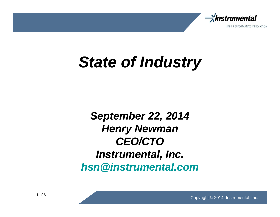

# **State of Industry**

## **September 22, 2014 Henry Newman CEO/CTO Instrumental, Inc. hsn@instrumental.com**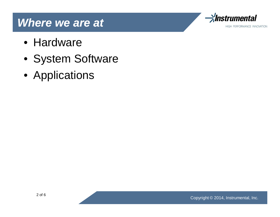#### **Where we are at**



- Hardware
- System Software
- Applications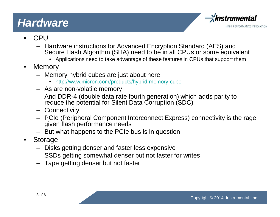### **Hardware**



- CPU
	- Hardware instructions for Advanced Encryption Standard (AES) and Secure Hash Algorithm (SHA) need to be in all CPUs or some equivalent
		- Applications need to take advantage of these features in CPUs that support them
- Memory
	- Memory hybrid cubes are just about here
		- http://www.micron.com/products/hybrid-memory-cube
	- As are non-volatile memory
	- And DDR-4 (double data rate fourth generation) which adds parity to reduce the potential for Silent Data Corruption (SDC)
	- Connectivity
	- PCIe (Peripheral Component Interconnect Express) connectivity is the rage given flash performance needs
	- But what happens to the PCIe bus is in question
- Storage
	- Disks getting denser and faster less expensive
	- SSDs getting somewhat denser but not faster for writes
	- Tape getting denser but not faster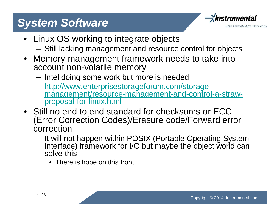## **System Software**



- Linux OS working to integrate objects
	- Still lacking management and resource control for objects
- Memory management framework needs to take into account non-volatile memory
	- Intel doing some work but more is needed
	- http://www.enterprisestorageforum.com/storagemanagement/resource-management-and-control-a-strawproposal-for-linux.html
- Still no end to end standard for checksums or ECC (Error Correction Codes)/Erasure code/Forward error correction
	- It will not happen within POSIX (Portable Operating System Interface) framework for I/O but maybe the object world can solve this
		- There is hope on this front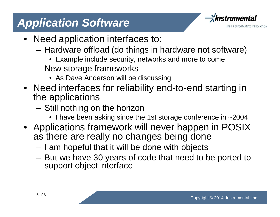## **Application Software**



- Need application interfaces to:
	- Hardware offload (do things in hardware not software)
		- Example include security, networks and more to come
	- New storage frameworks
		- As Dave Anderson will be discussing
- Need interfaces for reliability end-to-end starting in the applications
	- Still nothing on the horizon
		- I have been asking since the 1st storage conference in ~2004
- Applications framework will never happen in POSIX as there are really no changes being done
	- I am hopeful that it will be done with objects
	- But we have 30 years of code that need to be ported to support object interface